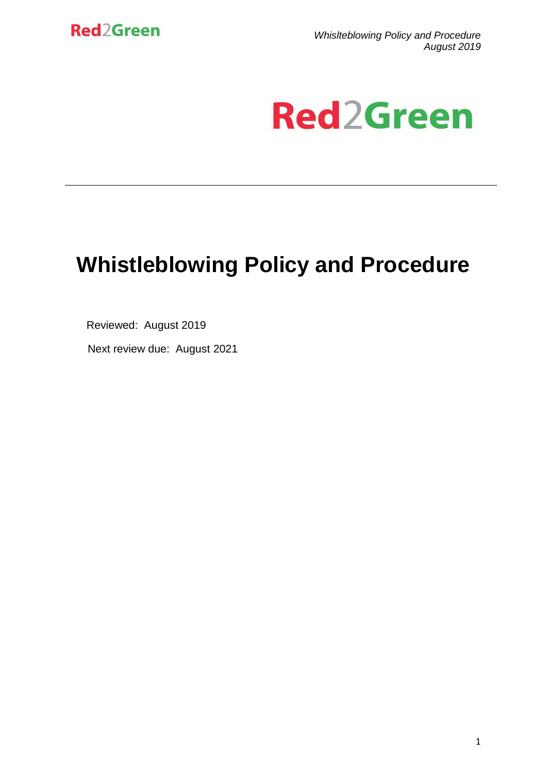

*Whislteblowing Policy and Procedure August 2019*

# **Red2Green**

## **Whistleblowing Policy and Procedure**

Reviewed: August 2019

Next review due: August 2021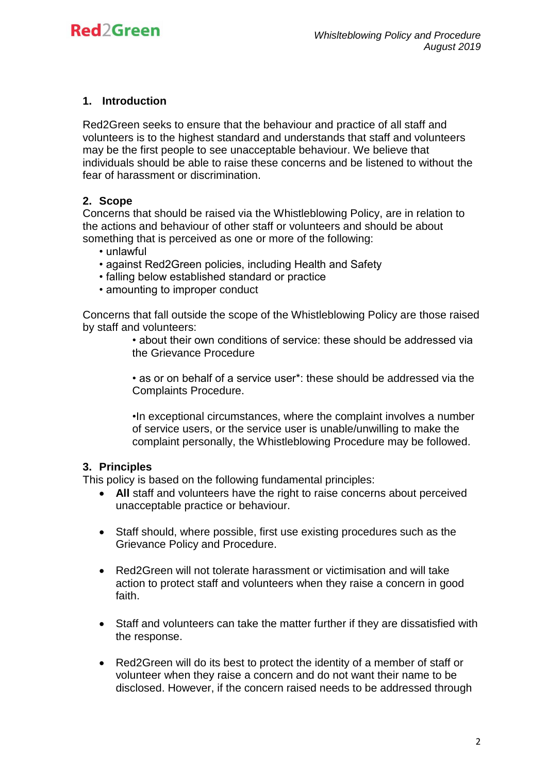#### **1. Introduction**

Red2Green seeks to ensure that the behaviour and practice of all staff and volunteers is to the highest standard and understands that staff and volunteers may be the first people to see unacceptable behaviour. We believe that individuals should be able to raise these concerns and be listened to without the fear of harassment or discrimination.

#### **2. Scope**

Concerns that should be raised via the Whistleblowing Policy, are in relation to the actions and behaviour of other staff or volunteers and should be about something that is perceived as one or more of the following:

- unlawful
- against Red2Green policies, including Health and Safety
- falling below established standard or practice
- amounting to improper conduct

Concerns that fall outside the scope of the Whistleblowing Policy are those raised by staff and volunteers:

> • about their own conditions of service: these should be addressed via the Grievance Procedure

> • as or on behalf of a service user\*: these should be addressed via the Complaints Procedure.

> •In exceptional circumstances, where the complaint involves a number of service users, or the service user is unable/unwilling to make the complaint personally, the Whistleblowing Procedure may be followed.

#### **3. Principles**

This policy is based on the following fundamental principles:

- **All** staff and volunteers have the right to raise concerns about perceived unacceptable practice or behaviour.
- Staff should, where possible, first use existing procedures such as the Grievance Policy and Procedure.
- Red2Green will not tolerate harassment or victimisation and will take action to protect staff and volunteers when they raise a concern in good faith.
- Staff and volunteers can take the matter further if they are dissatisfied with the response.
- Red2Green will do its best to protect the identity of a member of staff or volunteer when they raise a concern and do not want their name to be disclosed. However, if the concern raised needs to be addressed through